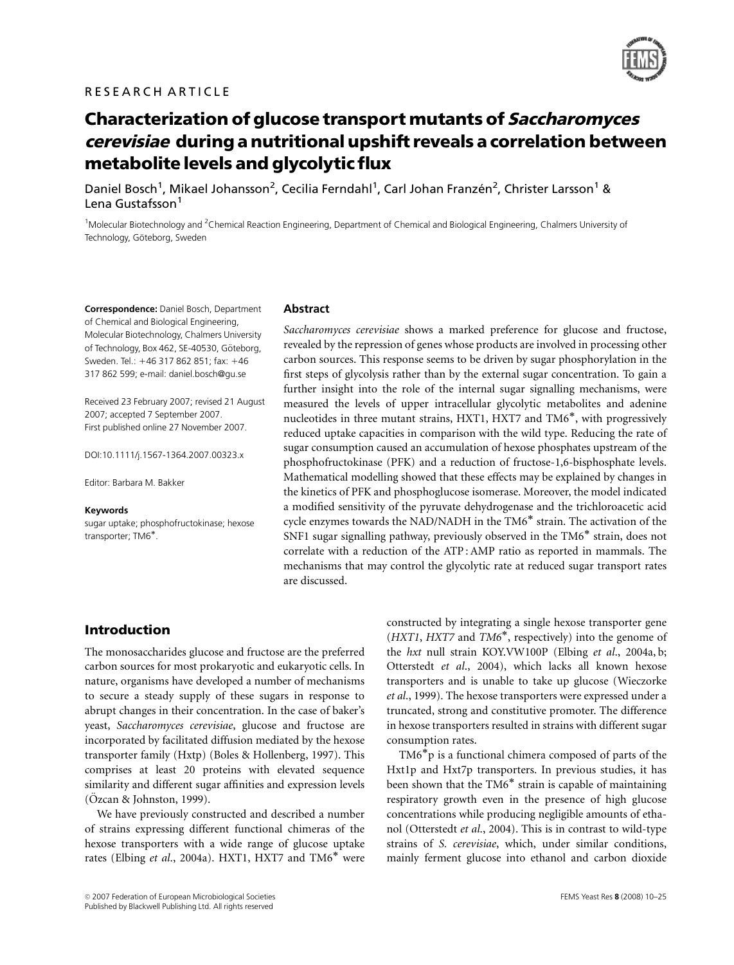

# Characterization of glucose transport mutants of Saccharomyces cerevisiae during a nutritional upshift reveals a correlation between metabolite levels and glycolytic flux

Daniel Bosch<sup>1</sup>, Mikael Johansson<sup>2</sup>, Cecilia Ferndahl<sup>1</sup>, Carl Johan Franzén<sup>2</sup>, Christer Larsson<sup>1</sup> & Lena Gustafsson<sup>1</sup>

<sup>1</sup>Molecular Biotechnology and <sup>2</sup>Chemical Reaction Engineering, Department of Chemical and Biological Engineering, Chalmers University of Technology, Göteborg, Sweden

Correspondence: Daniel Bosch, Department of Chemical and Biological Engineering, Molecular Biotechnology, Chalmers University of Technology, Box 462, SE-40530, Göteborg, Sweden. Tel.: +46 317 862 851; fax: +46 317 862 599; e-mail: daniel.bosch@gu.se

Received 23 February 2007; revised 21 August 2007; accepted 7 September 2007. First published online 27 November 2007.

DOI:10.1111/j.1567-1364.2007.00323.x

Editor: Barbara M. Bakker

### Keywords

sugar uptake; phosphofructokinase; hexose transporter; TM6\*.

### Abstract

Saccharomyces cerevisiae shows a marked preference for glucose and fructose, revealed by the repression of genes whose products are involved in processing other carbon sources. This response seems to be driven by sugar phosphorylation in the first steps of glycolysis rather than by the external sugar concentration. To gain a further insight into the role of the internal sugar signalling mechanisms, were measured the levels of upper intracellular glycolytic metabolites and adenine nucleotides in three mutant strains, HXT1, HXT7 and TM6<sup>\*</sup>, with progressively reduced uptake capacities in comparison with the wild type. Reducing the rate of sugar consumption caused an accumulation of hexose phosphates upstream of the phosphofructokinase (PFK) and a reduction of fructose-1,6-bisphosphate levels. Mathematical modelling showed that these effects may be explained by changes in the kinetics of PFK and phosphoglucose isomerase. Moreover, the model indicated a modified sensitivity of the pyruvate dehydrogenase and the trichloroacetic acid cycle enzymes towards the NAD/NADH in the TM6<sup>\*</sup> strain. The activation of the SNF1 sugar signalling pathway, previously observed in the  $TM6^*$  strain, does not correlate with a reduction of the ATP : AMP ratio as reported in mammals. The mechanisms that may control the glycolytic rate at reduced sugar transport rates are discussed.

# Introduction

The monosaccharides glucose and fructose are the preferred carbon sources for most prokaryotic and eukaryotic cells. In nature, organisms have developed a number of mechanisms to secure a steady supply of these sugars in response to abrupt changes in their concentration. In the case of baker's yeast, Saccharomyces cerevisiae, glucose and fructose are incorporated by facilitated diffusion mediated by the hexose transporter family (Hxtp) (Boles & Hollenberg, 1997). This comprises at least 20 proteins with elevated sequence similarity and different sugar affinities and expression levels  $(Özcan & Johnston, 1999).$ 

We have previously constructed and described a number of strains expressing different functional chimeras of the hexose transporters with a wide range of glucose uptake rates (Elbing *et al.*, 2004a). HXT1, HXT7 and  $TM6^*$  were

constructed by integrating a single hexose transporter gene  $(HXT1, HXT7$  and  $TM6^*$ , respectively) into the genome of the hxt null strain KOY.VW100P (Elbing et al., 2004a, b; Otterstedt et al., 2004), which lacks all known hexose transporters and is unable to take up glucose (Wieczorke et al., 1999). The hexose transporters were expressed under a truncated, strong and constitutive promoter. The difference in hexose transporters resulted in strains with different sugar consumption rates.

 $TM6<sup>*</sup>p$  is a functional chimera composed of parts of the Hxt1p and Hxt7p transporters. In previous studies, it has been shown that the TM6<sup>\*</sup> strain is capable of maintaining respiratory growth even in the presence of high glucose concentrations while producing negligible amounts of ethanol (Otterstedt et al., 2004). This is in contrast to wild-type strains of S. cerevisiae, which, under similar conditions, mainly ferment glucose into ethanol and carbon dioxide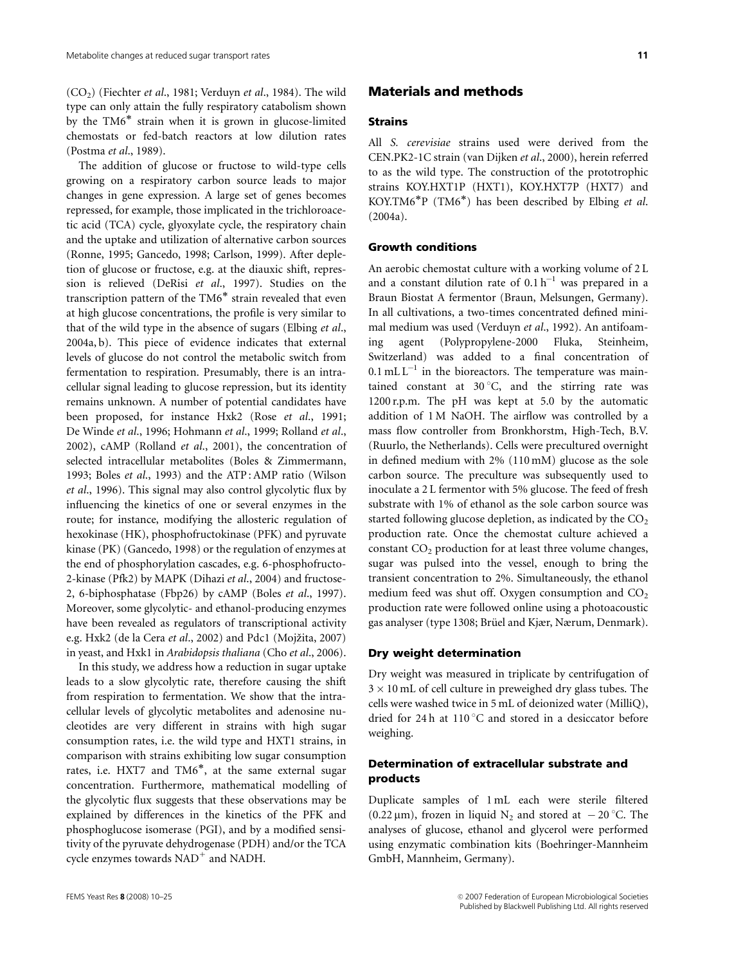$(CO<sub>2</sub>)$  (Fiechter et al., 1981; Verduyn et al., 1984). The wild type can only attain the fully respiratory catabolism shown by the  $TM6^*$  strain when it is grown in glucose-limited chemostats or fed-batch reactors at low dilution rates (Postma et al., 1989).

The addition of glucose or fructose to wild-type cells growing on a respiratory carbon source leads to major changes in gene expression. A large set of genes becomes repressed, for example, those implicated in the trichloroacetic acid (TCA) cycle, glyoxylate cycle, the respiratory chain and the uptake and utilization of alternative carbon sources (Ronne, 1995; Gancedo, 1998; Carlson, 1999). After depletion of glucose or fructose, e.g. at the diauxic shift, repression is relieved (DeRisi et al., 1997). Studies on the transcription pattern of the TM6<sup>\*</sup> strain revealed that even at high glucose concentrations, the profile is very similar to that of the wild type in the absence of sugars (Elbing et al., 2004a, b). This piece of evidence indicates that external levels of glucose do not control the metabolic switch from fermentation to respiration. Presumably, there is an intracellular signal leading to glucose repression, but its identity remains unknown. A number of potential candidates have been proposed, for instance Hxk2 (Rose et al., 1991; De Winde et al., 1996; Hohmann et al., 1999; Rolland et al., 2002), cAMP (Rolland et al., 2001), the concentration of selected intracellular metabolites (Boles & Zimmermann, 1993; Boles et al., 1993) and the ATP : AMP ratio (Wilson et al., 1996). This signal may also control glycolytic flux by influencing the kinetics of one or several enzymes in the route; for instance, modifying the allosteric regulation of hexokinase (HK), phosphofructokinase (PFK) and pyruvate kinase (PK) (Gancedo, 1998) or the regulation of enzymes at the end of phosphorylation cascades, e.g. 6-phosphofructo-2-kinase (Pfk2) by MAPK (Dihazi et al., 2004) and fructose-2, 6-biphosphatase (Fbp26) by cAMP (Boles et al., 1997). Moreover, some glycolytic- and ethanol-producing enzymes have been revealed as regulators of transcriptional activity e.g. Hxk2 (de la Cera et al., 2002) and Pdc1 (Mojžita, 2007) in yeast, and Hxk1 in Arabidopsis thaliana (Cho et al., 2006).

In this study, we address how a reduction in sugar uptake leads to a slow glycolytic rate, therefore causing the shift from respiration to fermentation. We show that the intracellular levels of glycolytic metabolites and adenosine nucleotides are very different in strains with high sugar consumption rates, i.e. the wild type and HXT1 strains, in comparison with strains exhibiting low sugar consumption rates, i.e. HXT7 and TM6<sup>\*</sup>, at the same external sugar concentration. Furthermore, mathematical modelling of the glycolytic flux suggests that these observations may be explained by differences in the kinetics of the PFK and phosphoglucose isomerase (PGI), and by a modified sensitivity of the pyruvate dehydrogenase (PDH) and/or the TCA cycle enzymes towards  $NAD^+$  and NADH.

### Materials and methods

### Strains

All S. cerevisiae strains used were derived from the CEN.PK2-1C strain (van Dijken et al., 2000), herein referred to as the wild type. The construction of the prototrophic strains KOY.HXT1P (HXT1), KOY.HXT7P (HXT7) and KOY.TM6<sup>\*</sup>P (TM6<sup>\*</sup>) has been described by Elbing et al. (2004a).

### Growth conditions

An aerobic chemostat culture with a working volume of 2 L and a constant dilution rate of  $0.1 h^{-1}$  was prepared in a Braun Biostat A fermentor (Braun, Melsungen, Germany). In all cultivations, a two-times concentrated defined minimal medium was used (Verduyn et al., 1992). An antifoaming agent (Polypropylene-2000 Fluka, Steinheim, Switzerland) was added to a final concentration of  $0.1$  mL L<sup>-1</sup> in the bioreactors. The temperature was maintained constant at  $30^{\circ}$ C, and the stirring rate was 1200 r.p.m. The pH was kept at 5.0 by the automatic addition of 1 M NaOH. The airflow was controlled by a mass flow controller from Bronkhorstm, High-Tech, B.V. (Ruurlo, the Netherlands). Cells were precultured overnight in defined medium with 2% (110 mM) glucose as the sole carbon source. The preculture was subsequently used to inoculate a 2 L fermentor with 5% glucose. The feed of fresh substrate with 1% of ethanol as the sole carbon source was started following glucose depletion, as indicated by the  $CO<sub>2</sub>$ production rate. Once the chemostat culture achieved a constant  $CO<sub>2</sub>$  production for at least three volume changes, sugar was pulsed into the vessel, enough to bring the transient concentration to 2%. Simultaneously, the ethanol medium feed was shut off. Oxygen consumption and  $CO<sub>2</sub>$ production rate were followed online using a photoacoustic gas analyser (type 1308; Brüel and Kjær, Nærum, Denmark).

### Dry weight determination

Dry weight was measured in triplicate by centrifugation of  $3 \times 10$  mL of cell culture in preweighed dry glass tubes. The cells were washed twice in 5 mL of deionized water (MilliQ), dried for 24 h at  $110\,^{\circ}$ C and stored in a desiccator before weighing.

## Determination of extracellular substrate and products

Duplicate samples of 1 mL each were sterile filtered (0.22  $\mu$ m), frozen in liquid N<sub>2</sub> and stored at  $-20$  °C. The analyses of glucose, ethanol and glycerol were performed using enzymatic combination kits (Boehringer-Mannheim GmbH, Mannheim, Germany).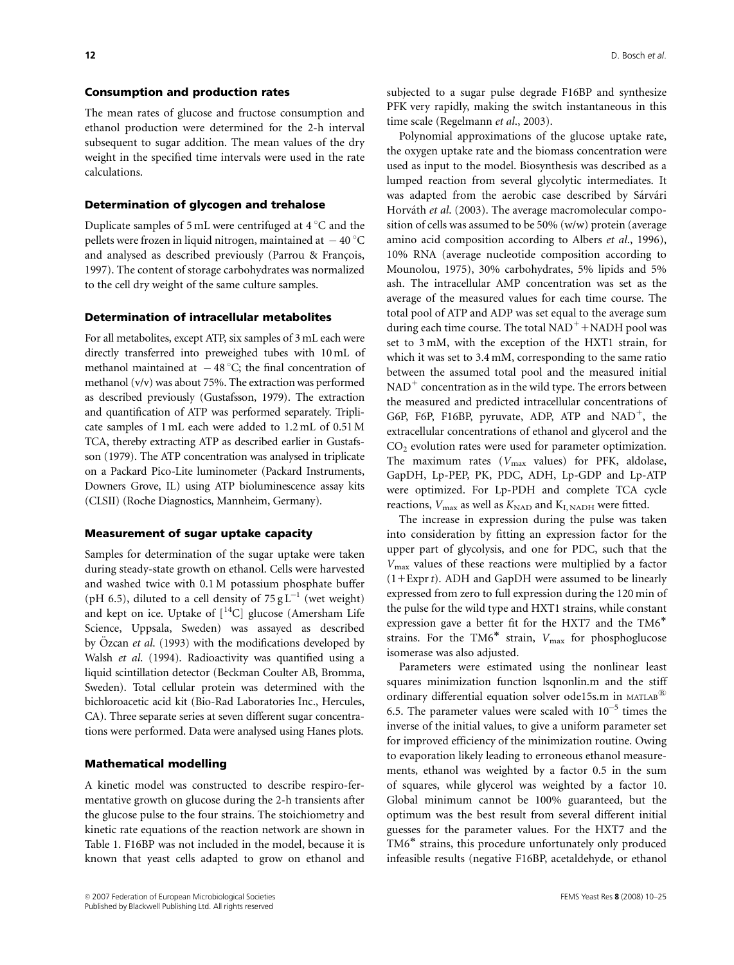# Consumption and production rates

The mean rates of glucose and fructose consumption and ethanol production were determined for the 2-h interval subsequent to sugar addition. The mean values of the dry weight in the specified time intervals were used in the rate calculations.

### Determination of glycogen and trehalose

Duplicate samples of 5 mL were centrifuged at  $4^{\circ}$ C and the pellets were frozen in liquid nitrogen, maintained at  $\,$  – 40  $^\circ\mathrm{C}$ and analysed as described previously (Parrou & François, 1997). The content of storage carbohydrates was normalized to the cell dry weight of the same culture samples.

### Determination of intracellular metabolites

For all metabolites, except ATP, six samples of 3 mL each were directly transferred into preweighed tubes with 10 mL of methanol maintained at  $-48^{\circ}$ C; the final concentration of methanol (v/v) was about 75%. The extraction was performed as described previously (Gustafsson, 1979). The extraction and quantification of ATP was performed separately. Triplicate samples of 1 mL each were added to 1.2 mL of 0.51M TCA, thereby extracting ATP as described earlier in Gustafsson (1979). The ATP concentration was analysed in triplicate on a Packard Pico-Lite luminometer (Packard Instruments, Downers Grove, IL) using ATP bioluminescence assay kits (CLSII) (Roche Diagnostics, Mannheim, Germany).

### Measurement of sugar uptake capacity

Samples for determination of the sugar uptake were taken during steady-state growth on ethanol. Cells were harvested and washed twice with 0.1 M potassium phosphate buffer (pH 6.5), diluted to a cell density of  $75 \text{ g L}^{-1}$  (wet weight) and kept on ice. Uptake of  $\vert^{14}C\vert$  glucose (Amersham Life Science, Uppsala, Sweden) was assayed as described by Özcan et al. (1993) with the modifications developed by Walsh et al. (1994). Radioactivity was quantified using a liquid scintillation detector (Beckman Coulter AB, Bromma, Sweden). Total cellular protein was determined with the bichloroacetic acid kit (Bio-Rad Laboratories Inc., Hercules, CA). Three separate series at seven different sugar concentrations were performed. Data were analysed using Hanes plots.

### Mathematical modelling

A kinetic model was constructed to describe respiro-fermentative growth on glucose during the 2-h transients after the glucose pulse to the four strains. The stoichiometry and kinetic rate equations of the reaction network are shown in Table 1. F16BP was not included in the model, because it is known that yeast cells adapted to grow on ethanol and

Polynomial approximations of the glucose uptake rate, the oxygen uptake rate and the biomass concentration were used as input to the model. Biosynthesis was described as a lumped reaction from several glycolytic intermediates. It was adapted from the aerobic case described by Sárvári Horváth et al. (2003). The average macromolecular composition of cells was assumed to be 50% (w/w) protein (average amino acid composition according to Albers et al., 1996), 10% RNA (average nucleotide composition according to Mounolou, 1975), 30% carbohydrates, 5% lipids and 5% ash. The intracellular AMP concentration was set as the average of the measured values for each time course. The total pool of ATP and ADP was set equal to the average sum during each time course. The total  $NAD^+$ +NADH pool was set to 3 mM, with the exception of the HXT1 strain, for which it was set to 3.4 mM, corresponding to the same ratio between the assumed total pool and the measured initial  $NAD<sup>+</sup>$  concentration as in the wild type. The errors between the measured and predicted intracellular concentrations of G6P, F6P, F16BP, pyruvate, ADP, ATP and  $NAD^+$ , the extracellular concentrations of ethanol and glycerol and the  $CO<sub>2</sub>$  evolution rates were used for parameter optimization. The maximum rates ( $V_{\text{max}}$  values) for PFK, aldolase, GapDH, Lp-PEP, PK, PDC, ADH, Lp-GDP and Lp-ATP were optimized. For Lp-PDH and complete TCA cycle reactions,  $V_{\text{max}}$  as well as  $K_{\text{NAD}}$  and  $K_{\text{I, NADH}}$  were fitted.

The increase in expression during the pulse was taken into consideration by fitting an expression factor for the upper part of glycolysis, and one for PDC, such that the  $V_{\text{max}}$  values of these reactions were multiplied by a factor  $(1 + \text{Expr } t)$ . ADH and GapDH were assumed to be linearly expressed from zero to full expression during the 120 min of the pulse for the wild type and HXT1 strains, while constant expression gave a better fit for the HXT7 and the TM6 strains. For the TM6<sup>\*</sup> strain,  $V_{\text{max}}$  for phosphoglucose isomerase was also adjusted.

Parameters were estimated using the nonlinear least squares minimization function lsqnonlin.m and the stiff ordinary differential equation solver ode15s.m in  $MATLAB^{\&}$ 6.5. The parameter values were scaled with  $10^{-5}$  times the inverse of the initial values, to give a uniform parameter set for improved efficiency of the minimization routine. Owing to evaporation likely leading to erroneous ethanol measurements, ethanol was weighted by a factor 0.5 in the sum of squares, while glycerol was weighted by a factor 10. Global minimum cannot be 100% guaranteed, but the optimum was the best result from several different initial guesses for the parameter values. For the HXT7 and the TM6<sup>\*</sup> strains, this procedure unfortunately only produced infeasible results (negative F16BP, acetaldehyde, or ethanol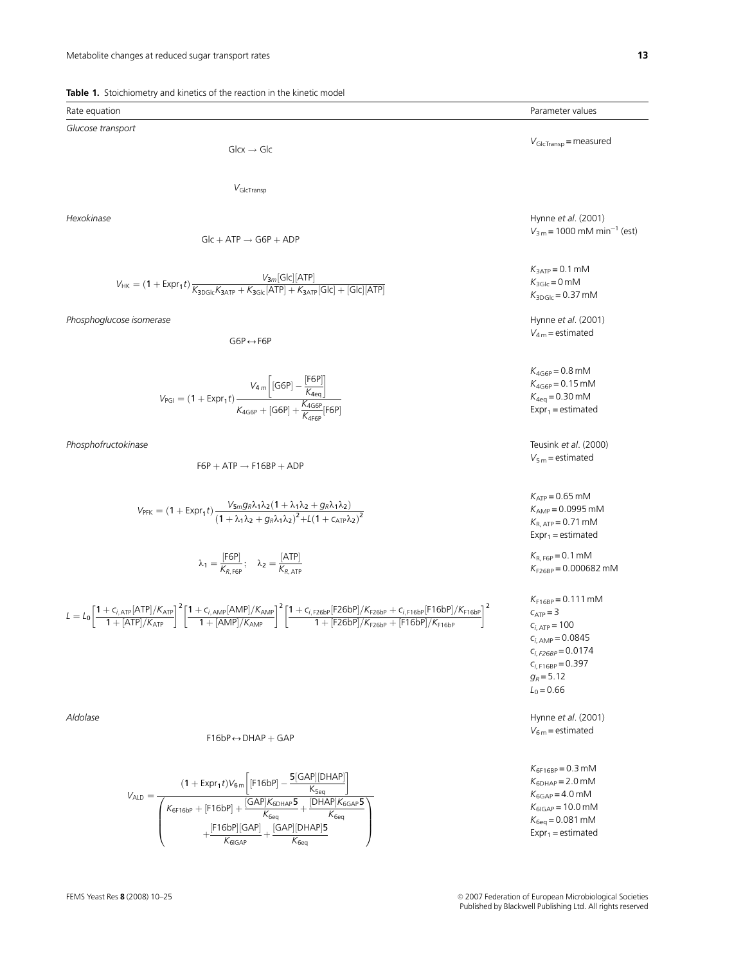|  |  | <b>Table 1.</b> Stoichiometry and kinetics of the reaction in the kinetic model |  |  |  |  |  |  |
|--|--|---------------------------------------------------------------------------------|--|--|--|--|--|--|
|--|--|---------------------------------------------------------------------------------|--|--|--|--|--|--|

| Rate equation                                                                                                                                                                                                                                                                                                                                                                                                        | Parameter values                                                                                                                                                                          |
|----------------------------------------------------------------------------------------------------------------------------------------------------------------------------------------------------------------------------------------------------------------------------------------------------------------------------------------------------------------------------------------------------------------------|-------------------------------------------------------------------------------------------------------------------------------------------------------------------------------------------|
| Glucose transport                                                                                                                                                                                                                                                                                                                                                                                                    |                                                                                                                                                                                           |
| $Glcx \rightarrow Glc$                                                                                                                                                                                                                                                                                                                                                                                               | $V_{\text{GlcTransp}}$ = measured                                                                                                                                                         |
|                                                                                                                                                                                                                                                                                                                                                                                                                      |                                                                                                                                                                                           |
| $V_{\text{GlcTransn}}$                                                                                                                                                                                                                                                                                                                                                                                               |                                                                                                                                                                                           |
| Hexokinase<br>$Glc + ATP \rightarrow G6P + ADP$                                                                                                                                                                                                                                                                                                                                                                      | Hynne et al. (2001)<br>$V_{3\,\text{m}}$ = 1000 mM min <sup>-1</sup> (est)                                                                                                                |
|                                                                                                                                                                                                                                                                                                                                                                                                                      |                                                                                                                                                                                           |
| $V_{HK} = (1 + \text{Expr}_1 t) \frac{V_{3m}[\text{Glc}][\text{ATP}]}{K_{30\text{Glc}}K_{3\text{ATP}} + K_{3\text{Glc}}[\text{ATP}] + K_{3\text{ATP}}[\text{Glc}] + [\text{Glc}][\text{ATP}]}$                                                                                                                                                                                                                       | $K_{3ATP} = 0.1$ mM<br>$K_{3\text{Glc}} = 0 \text{ mM}$<br>$K_{3DGL} = 0.37$ mM                                                                                                           |
| Phosphoglucose isomerase<br>$G6P \leftrightarrow F6P$                                                                                                                                                                                                                                                                                                                                                                | Hynne et al. (2001)<br>$V_{4m}$ = estimated                                                                                                                                               |
| $V_{PGI} = (1 + \text{Expr}_1 t) \frac{V_{4m} \left[ [\text{G6P}] - \frac{[\text{F6P}]}{K_{\text{deg}}} \right]}{K_{\text{AG6P}} + [\text{G6P}] + \frac{K_{\text{AG6P}}}{K_{\text{deg}} [\text{F6P}]}}$                                                                                                                                                                                                              | $K_{4G6P} = 0.8$ mM<br>$K_{4G6P} = 0.15$ mM<br>$K_{4eq} = 0.30$ mM<br>$Expr_1 =$ estimated                                                                                                |
| Phosphofructokinase<br>$F6P + ATP \rightarrow F16BP + ADP$                                                                                                                                                                                                                                                                                                                                                           | Teusink et al. (2000)<br>$V_{5m}$ = estimated                                                                                                                                             |
| $V_{\text{PFK}} = (1 + \text{Expr}_1 t) \frac{V_{5m} g_R \lambda_1 \lambda_2 (1 + \lambda_1 \lambda_2 + g_R \lambda_1 \lambda_2)}{(1 + \lambda_1 \lambda_2 + g_R \lambda_1 \lambda_2)^2 + \lambda (1 + \text{Exp} \lambda_2)^2}$                                                                                                                                                                                     | $K_{ATP} = 0.65$ mM<br>$K_{AMP} = 0.0995$ mM<br>$K_{R,ATP} = 0.71$ mM<br>$Expr_1 =$ estimated                                                                                             |
| $\lambda_1 = \frac{\text{[F6P]}}{K_{R \text{ F6P}}}; \quad \lambda_2 = \frac{\text{[ATP]}}{K_{R \text{ ATP}}}$                                                                                                                                                                                                                                                                                                       | $K_{R, F6P} = 0.1$ mM<br>$K_{F26BP} = 0.000682$ mM                                                                                                                                        |
| $L = L_0 \left[ \frac{1 + c_{i,\text{ATP}}[\text{ATP}]/K_{\text{ATP}}}{1 + [\text{ATP}]/K_{\text{ATP}}}\right]^2 \left[ \frac{1 + c_{i,\text{AMP}}[\text{AMP}]/\text{K}_{\text{AMP}}}{1 + [\text{AMP}]/\text{K}_{\text{AMP}}}\right]^2 \left[ \frac{1 + c_{i,\text{F26bP}}[\text{F26bP}]/\text{K}_{\text{F26bP}} + c_{i,\text{F16bP}}[\text{F16bP}]/\text{K}_{\text{F16bP}}}{1 + [\text{F26bP}]/\text{K}_{\text{F26$ | $K_{F16BP} = 0.111$ mM<br>$C_{ATP} = 3$<br>$C_{i, \text{ATP}} = 100$<br>$C_{i, \text{AMP}} = 0.0845$<br>$C_{i, F26BP} = 0.0174$<br>$C_{i, F16BP} = 0.397$<br>$g_R = 5.12$<br>$L_0 = 0.66$ |
| Aldolase<br>$F16bP \leftrightarrow DHAP + GAP$                                                                                                                                                                                                                                                                                                                                                                       | Hynne et al. (2001)<br>$V_{6\,\text{m}}$ = estimated                                                                                                                                      |
|                                                                                                                                                                                                                                                                                                                                                                                                                      | $K_{6F16BP} = 0.3$ mM                                                                                                                                                                     |
| $F(A \cap B)$ $D \cap A \cap B$                                                                                                                                                                                                                                                                                                                                                                                      |                                                                                                                                                                                           |

$$
V_{ALD}=\frac{(1+Expr_1t)V_{6m}\left[[F16bP]-\frac{5[GAP][DHAP]}{K_{Seq}}\right]}{\left(\frac{K_{6F16bP}+[F16bP]+\frac{[GAP]K_{6DHAP}5}{K_{6eq}}+\frac{[DHAP]K_{6GAP}5}{K_{6eq}}}{+\frac{[F16bP][GAP]}{K_{6IGAP}}+\frac{[GAP][DHAP]5}{K_{6eq}}\right)}
$$

 $K_{6DHAP} = 2.0$  mM  $K_{6GAP} = 4.0$  mM  $K_{6IGAP}$  = 10.0 mM  $K_{6eq} = 0.081$  mM  $Expr_1 =$  estimated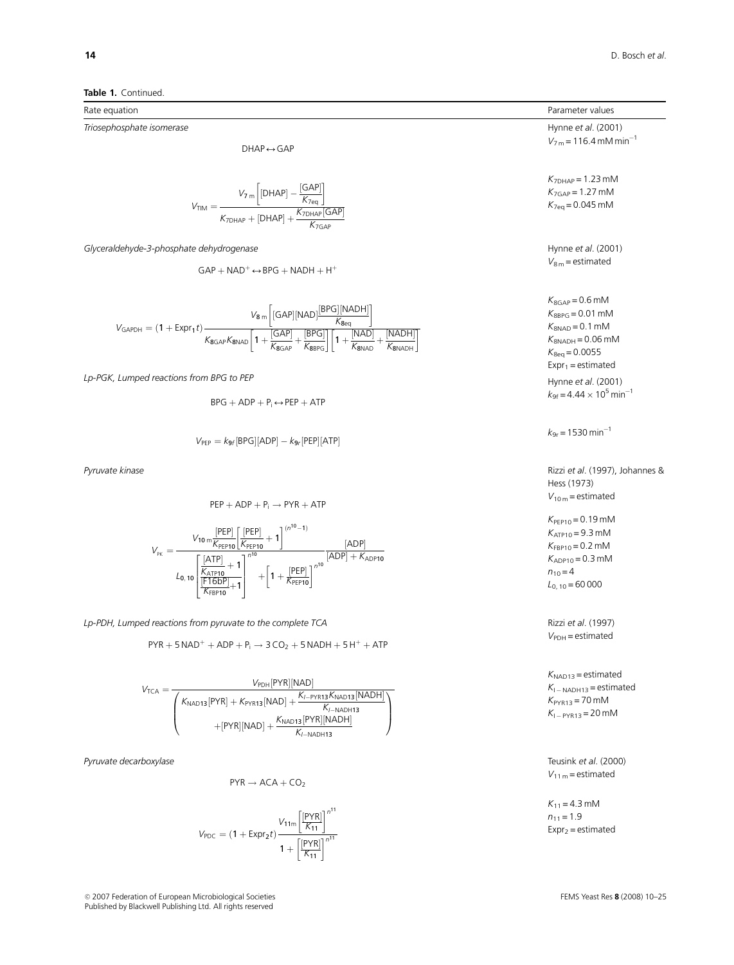Triosephosphate isomerase

 $DHAP \leftrightarrow GAP$ 

$$
V_{TIM}=\frac{V_{7\ m}\bigg[[DHAP]-\frac{[GAP]}{K_{7eq}}\bigg]}{K_{7DHAP}+[DHAP]+\frac{K_{7DHAP}[GAP]}{K_{7GAP}}}
$$

Glyceraldehyde-3-phosphate dehydrogenase

 $GAP + NAD^+ \leftrightarrow BPG + NADH + H^+$ 

$$
V_{GAPDH}=(1+Expr_1t)\frac{V_8\,m\left[\left[GAP\right]\left[NAD\right]\frac{\left[BPG\right]\left[NADH\right]}{\mathcal{K}_{8eq}}\right]}{K_{8GAP}\mathcal{K}_{8NAD}\left[1+\frac{\left[GAP\right]}{\mathcal{K}_{8GAP}}+\frac{\left[BPG\right]\right]\left[1+\frac{\left[NAD\right]}{\mathcal{K}_{8NAD}}+\frac{\left[NADH\right]}{\mathcal{K}_{8NAD}+}\right]}
$$

Lp-PGK, Lumped reactions from BPG to PEP

$$
BPG + ADP + P_i \leftrightarrow PEP + ATP
$$

$$
V_{PEP} = k_{9f}[BPG][ADP] - k_{9r}[PEP][ATP]
$$

$$
PEP + ADP + P_i \rightarrow PYR + ATP
$$
\n
$$
V_{\text{PR}} = \frac{V_{10} \frac{[PEP]}{K_{\text{PEPD}}} \left[\frac{[PEP]}{K_{\text{PEPD}}} + 1\right]^{(n^{10}-1)}}{L_{0,10} \left[\frac{\frac{[ATP]}{K_{\text{RFDD}}} + 1}{\frac{[F16DP]}{K_{\text{PEPD}}} + 1}\right]^{n^{10}} + \left[1 + \frac{[PEP]}{K_{\text{PEPD}}} \right]^{n^{10}} \frac{[ADP] + K_{ADP10}}{K_{\text{PEPD}}}.
$$

Lp-PDH, Lumped reactions from pyruvate to the complete TCA Rizzi et al. (1997)

$$
PYR+5\,NAD^++ADP+P_i\rightarrow 3\,CO_2+5\,NADH+5\,H^++ATP
$$

$$
V_{TCA}=\frac{V_{PDH}[PYR][NAD]}{\left(\begin{matrix}K_{NAD13}[PYR]+K_{PYR13}[NAD]+\frac{K_{I-PYR13}K_{NAD13}[NADH]}{K_{I-NADH13}}\\+ [PYR][NAD]+\frac{K_{NAD13}[PYR][NADH]}{K_{I-NADH13}}\end{matrix}\right)}
$$

Pyruvate decarboxylase Teusink et al. (2000)

$$
PYR \rightarrow ACA + CO_2 \\
$$

$$
V_{PDC} = (1 + Expr_2t) \frac{V_{11m} \left[\frac{[PYR]}{K_{11}}\right]^{n^{11}}}{1 + \left[\frac{[PYR]}{K_{11}}\right]^{n^{11}}}
$$

<sup>c</sup> 2007 Federation of European Microbiological Societies FEMS Yeast Res 8 (2008) 10–25 Published by Blackwell Publishing Ltd. All rights reserved

Rate equation  
\n
$$
\text{Primesophosphate isomerase}
$$
\nHynne et al. (2001)  
\n
$$
V_{Tm} = 116.4 \text{ mM min}^{-1}
$$
\n
$$
V_{Tm} = 116.4 \text{ mM min}^{-1}
$$
\n
$$
V_{Tm} = 12.3 \text{ mM}
$$
\n
$$
V_{Tm} = 12.3 \text{ mM}
$$
\n
$$
V_{Tm} = 12.3 \text{ mM}
$$
\n
$$
V_{Tm} = 12.3 \text{ mM}
$$
\n
$$
V_{Tm} = 12.3 \text{ mM}
$$
\n
$$
V_{Tm} = 12.3 \text{ mM}
$$
\n
$$
V_{Tm} = 12.3 \text{ mM}
$$
\n
$$
V_{Tm} = 12.3 \text{ mM}
$$
\n
$$
V_{Tm} = 12.3 \text{ mM}
$$
\n
$$
V_{Tm} = 12.3 \text{ mM}
$$
\n
$$
V_{Tm} = 12.3 \text{ mM}
$$
\n
$$
V_{Tm} = 12.3 \text{ mM}
$$
\n
$$
V_{Tm} = 12.3 \text{ mM}
$$
\n
$$
V_{Tm} = 12.3 \text{ mM}
$$
\n
$$
V_{Tm} = 12.3 \text{ mM}
$$
\n
$$
V_{Tm} = 12.3 \text{ mM}
$$
\n
$$
V_{Tm} = 12.3 \text{ mM}
$$
\n
$$
V_{Tm} = 12.3 \text{ mM}
$$
\n
$$
V_{Tm} = 12.3 \text{ mM}
$$
\n
$$
V_{Tm} = 12.3 \text{ mM}
$$
\n
$$
V_{Tm} = 12.3 \text{ mM}
$$
\n
$$
V_{Tm} = 12.3 \text{ mM}
$$
\n
$$
V_{Tm} = 12.3 \text{ mM}
$$
\n
$$
V_{Tm} = 12.3 \text{ mM}
$$
\n
$$
V_{Tm} = 12.3 \text{ mM}
$$
\n
$$
V_{Tm} = 12.3 \text{ ml}
$$
\n
$$
V_{Tm} = 12.
$$

Hess (1973)  $V_{10\,m}$  = estimated

 $K_{\text{PEP10}} = 0.19 \text{ mM}$  $K_{ATP10} = 9.3$  mM  $K_{FBP10} = 0.2$  mM  $K_{ADP10} = 0.3$  mM  $n_{10} = 4$  $L_{0, 10} = 60000$ 

 $V_{PDH}$  = estimated

 $K_{\text{NAD13}} =$  estimated  $K_{1-NADH13}$  = estimated  $K_{PYR13}$  = 70 mM  $K_{1}$ –  $p_{YR13}$  = 20 mM

 $V_{11 m}$  = estimated

 $K_{11} = 4.3$  mM  $n_{11} = 1.9$  $Expr_2 =$  estimated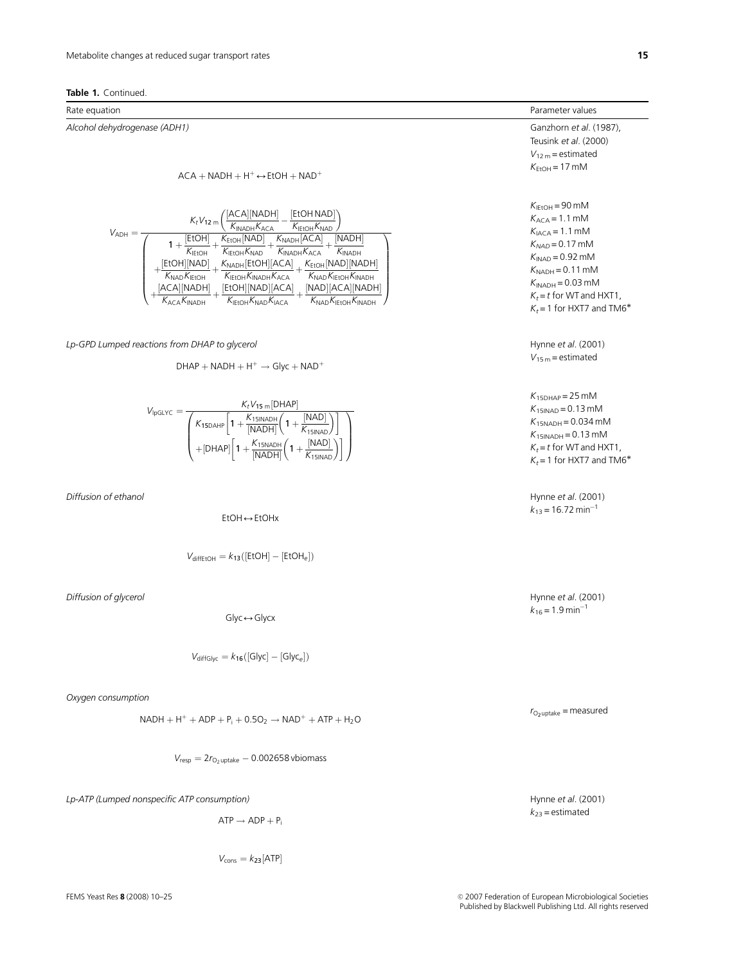### Table 1. Continued.

Alcohol dehydrogenase (ADH1) Ganzhorn et al. (1987),

$$
ACA + NADH + H^{+} \leftrightarrow EtOH + NAD^{+}
$$
\n
$$
K_{EtOH} = 17 \text{ mM}
$$



Lp-GPD Lumped reactions from DHAP to glycerol and the state of the state of the Hynne et al. (2001)

$$
V_{15\,\text{m}} = \text{estimated}
$$

$$
V_{lpGLYC} = \frac{K_t V_{15\ m} [DHAP]}{\left(\frac{K_{15DAHP}}{K_{15DAHP}}\left[1 + \frac{K_{15INADH}}{[NADH]}\left(1 + \frac{[NAD]}{K_{15INAD}}\right)\right]\right)}
$$

$$
+ [DHAP]\left[1 + \frac{K_{15NADH}}{[NADH]}\left(1 + \frac{[NAD]}{K_{15INAD}}\right)\right]}
$$

EtOH ↔ EtOHx

$$
V_{\text{diffEtOH}} = k_{13}([\text{EtOH}] - [\text{EtOH}_e])
$$

Diffusion of glycerol and the state of the control of the Hynne et al. (2001) Diffusion of glycerol and the control of the control of the control of the control of the control of the control of the control of the control o

 $Glyc \leftrightarrow Glycx$ 

$$
V_{\text{diffGlyc}} = k_{16}([\text{Glyc}] - [\text{Glyc}_e])
$$

Oxygen consumption

$$
NADH + H^{+} + ADP + P_{i} + 0.5O_{2} \rightarrow NAD^{+} + ATP + H_{2}O
$$

 $V_{resp} = 2r_{O_2}$ uptake  $-0.002658$  vbiomass

Lp-ATP (Lumped nonspecific ATP consumption) discussed to the set of the set of the set of the set of the set of the set of the set of the set of the set of the set of the set of the set of the set of the set of the set of

$$
\mathsf{ATP} \to \mathsf{ADP} + P_i
$$

 $V_{\text{cons}} = k_{23}$ [ATP]

Rate equation **Parameter values Parameter values Parameter values Parameter values** 

Teusink et al. (2000)  $V_{12 m}$  = estimated

 $K_{\text{IFtOH}} = 90 \text{ mM}$  $K_{\text{ACA}} = 1.1 \text{ mM}$  $K<sub>IACA</sub> = 1.1$  mM  $K_{NAD} = 0.17$  mM  $K<sub>INAD</sub> = 0.92$  mM  $K_{NADH} = 0.11$  mM  $K_{INADH} = 0.03$  mM  $K_t = t$  for WT and HXT1,  $K_t$  = 1 for HXT7 and TM6<sup>\*</sup>

 $K_{15DHAP}$  = 25 mM  $K_{15INAD} = 0.13$  mM  $K_{15NADH} = 0.034$  mM  $K_{15}$ INADH = 0.13 mM  $K_t = t$  for WT and HXT1.  $K_t$  = 1 for HXT7 and TM6<sup>\*</sup>

Diffusion of ethanol and the control of the control of the control of the control of the control of the control of the control of the control of the control of the control of the control of the control of the control of th  $k_{13}$  = 16.72 min<sup>-1</sup>

 $k_{16} = 1.9 \text{ min}^{-1}$ 

 $k_{23}$  = estimated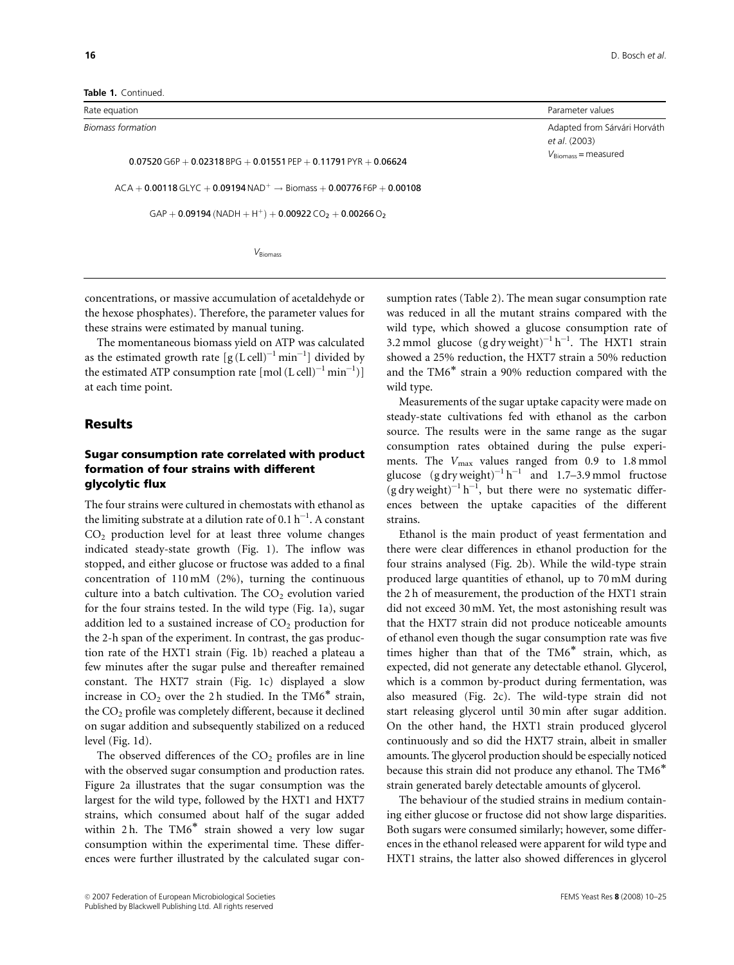Table 1. Continued

Rate equation **Parameter values** and the control of the control of the control of the control of the control of the control of the control of the control of the control of the control of the control of the control of the c Biomass formation and the state of the state of the state of the state of the state of the Sarvath Coviding to the Sarvath Coviding to the Sarvath Coviding to the Sarvath Coviding to the Sarvath Coviding to the Sarvath Cov  $0.07520$  G6P  $+0.02318$  BPG  $+0.01551$  PEP  $+0.11791$  PYR  $+0.06624$  $ACA + 0.00118$  GLYC + 0.09194 NAD<sup>+</sup>  $\rightarrow$  Biomass + 0.00776 F6P + 0.00108  $GAP + 0.09194 (NADH + H<sup>+</sup>) + 0.00922 CO<sub>2</sub> + 0.00266 O<sub>2</sub>$ 

 $V_{\text{Biomass}}$ 

et al. (2003)  $V_{\text{Biomass}}$  = measured

concentrations, or massive accumulation of acetaldehyde or the hexose phosphates). Therefore, the parameter values for these strains were estimated by manual tuning.

The momentaneous biomass yield on ATP was calculated as the estimated growth rate  $[g (L \, cell)^{-1} \, min^{-1}]$  divided by the estimated ATP consumption rate  $\mathrm{[mol}\,(\mathrm{L}\,\mathrm{cell})^{-1}\,\mathrm{min}^{-1})]$ at each time point.

### Results

# Sugar consumption rate correlated with product formation of four strains with different glycolytic flux

The four strains were cultured in chemostats with ethanol as the limiting substrate at a dilution rate of 0.1  $\rm h^{-1}.$  A constant  $CO<sub>2</sub>$  production level for at least three volume changes indicated steady-state growth (Fig. 1). The inflow was stopped, and either glucose or fructose was added to a final concentration of 110 mM (2%), turning the continuous culture into a batch cultivation. The  $CO<sub>2</sub>$  evolution varied for the four strains tested. In the wild type (Fig. 1a), sugar addition led to a sustained increase of  $CO<sub>2</sub>$  production for the 2-h span of the experiment. In contrast, the gas production rate of the HXT1 strain (Fig. 1b) reached a plateau a few minutes after the sugar pulse and thereafter remained constant. The HXT7 strain (Fig. 1c) displayed a slow increase in  $CO<sub>2</sub>$  over the 2 h studied. In the TM6<sup>\*</sup> strain, the  $CO<sub>2</sub>$  profile was completely different, because it declined on sugar addition and subsequently stabilized on a reduced level (Fig. 1d).

The observed differences of the  $CO<sub>2</sub>$  profiles are in line with the observed sugar consumption and production rates. Figure 2a illustrates that the sugar consumption was the largest for the wild type, followed by the HXT1 and HXT7 strains, which consumed about half of the sugar added within 2 h. The  $TM6^*$  strain showed a very low sugar consumption within the experimental time. These differences were further illustrated by the calculated sugar consumption rates (Table 2). The mean sugar consumption rate was reduced in all the mutant strains compared with the wild type, which showed a glucose consumption rate of 3.2 mmol glucose  $(g\,dy\,weight)^{-1}h^{-1}$ . The HXT1 strain showed a 25% reduction, the HXT7 strain a 50% reduction and the TM6<sup>\*</sup> strain a 90% reduction compared with the wild type.

Measurements of the sugar uptake capacity were made on steady-state cultivations fed with ethanol as the carbon source. The results were in the same range as the sugar consumption rates obtained during the pulse experiments. The  $V_{\text{max}}$  values ranged from 0.9 to 1.8 mmol glucose  $(g\,dy\,weight)^{-1}h^{-1}$  and 1.7–3.9 mmol fructose  $(g$  dry weight)<sup>-1</sup> h<sup>-1</sup>, but there were no systematic differences between the uptake capacities of the different strains.

Ethanol is the main product of yeast fermentation and there were clear differences in ethanol production for the four strains analysed (Fig. 2b). While the wild-type strain produced large quantities of ethanol, up to 70 mM during the 2 h of measurement, the production of the HXT1 strain did not exceed 30 mM. Yet, the most astonishing result was that the HXT7 strain did not produce noticeable amounts of ethanol even though the sugar consumption rate was five times higher than that of the  $TM6^*$  strain, which, as expected, did not generate any detectable ethanol. Glycerol, which is a common by-product during fermentation, was also measured (Fig. 2c). The wild-type strain did not start releasing glycerol until 30 min after sugar addition. On the other hand, the HXT1 strain produced glycerol continuously and so did the HXT7 strain, albeit in smaller amounts. The glycerol production should be especially noticed because this strain did not produce any ethanol. The TM6 strain generated barely detectable amounts of glycerol.

The behaviour of the studied strains in medium containing either glucose or fructose did not show large disparities. Both sugars were consumed similarly; however, some differences in the ethanol released were apparent for wild type and HXT1 strains, the latter also showed differences in glycerol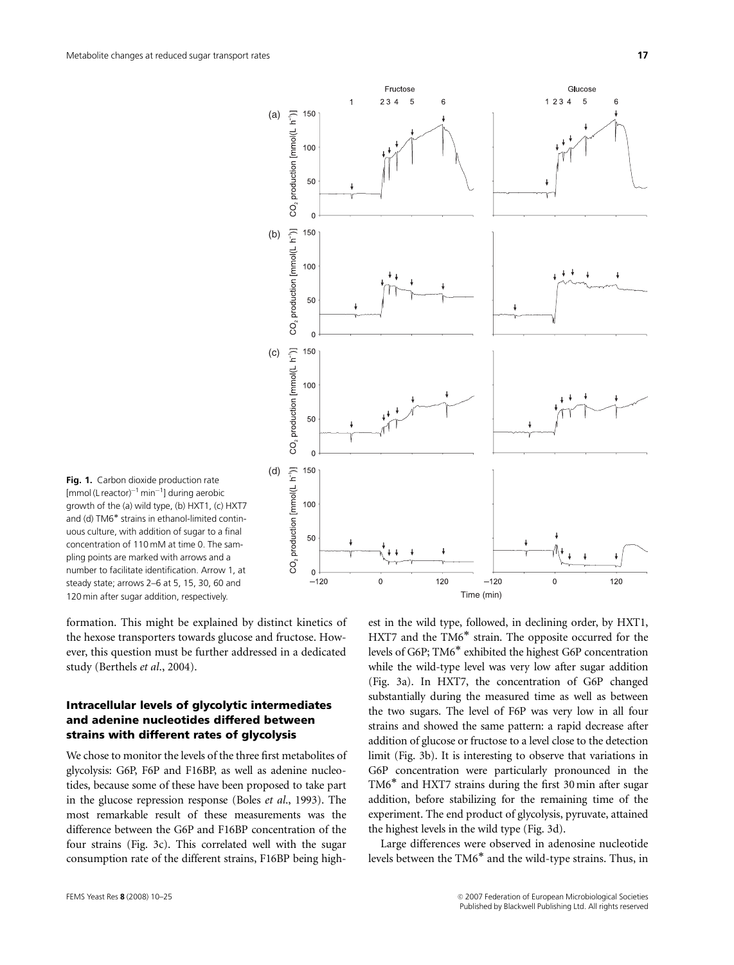

Fig. 1. Carbon dioxide production rate [mmol (L reactor)<sup>-1</sup> min<sup>-1</sup>] during aerobic growth of the (a) wild type, (b) HXT1, (c) HXT7 and (d) TM6<sup>\*</sup> strains in ethanol-limited continuous culture, with addition of sugar to a final concentration of 110 mM at time 0. The sampling points are marked with arrows and a number to facilitate identification. Arrow 1, at steady state; arrows 2–6 at 5, 15, 30, 60 and 120 min after sugar addition, respectively.

formation. This might be explained by distinct kinetics of the hexose transporters towards glucose and fructose. However, this question must be further addressed in a dedicated study (Berthels et al., 2004).

# Intracellular levels of glycolytic intermediates and adenine nucleotides differed between strains with different rates of glycolysis

We chose to monitor the levels of the three first metabolites of glycolysis: G6P, F6P and F16BP, as well as adenine nucleotides, because some of these have been proposed to take part in the glucose repression response (Boles et al., 1993). The most remarkable result of these measurements was the difference between the G6P and F16BP concentration of the four strains (Fig. 3c). This correlated well with the sugar consumption rate of the different strains, F16BP being highest in the wild type, followed, in declining order, by HXT1, HXT7 and the TM6<sup>\*</sup> strain. The opposite occurred for the levels of G6P; TM6<sup>\*</sup> exhibited the highest G6P concentration while the wild-type level was very low after sugar addition (Fig. 3a). In HXT7, the concentration of G6P changed substantially during the measured time as well as between the two sugars. The level of F6P was very low in all four strains and showed the same pattern: a rapid decrease after addition of glucose or fructose to a level close to the detection limit (Fig. 3b). It is interesting to observe that variations in G6P concentration were particularly pronounced in the  $TM6^*$  and HXT7 strains during the first 30 min after sugar addition, before stabilizing for the remaining time of the experiment. The end product of glycolysis, pyruvate, attained the highest levels in the wild type (Fig. 3d).

Large differences were observed in adenosine nucleotide levels between the  $TM6^*$  and the wild-type strains. Thus, in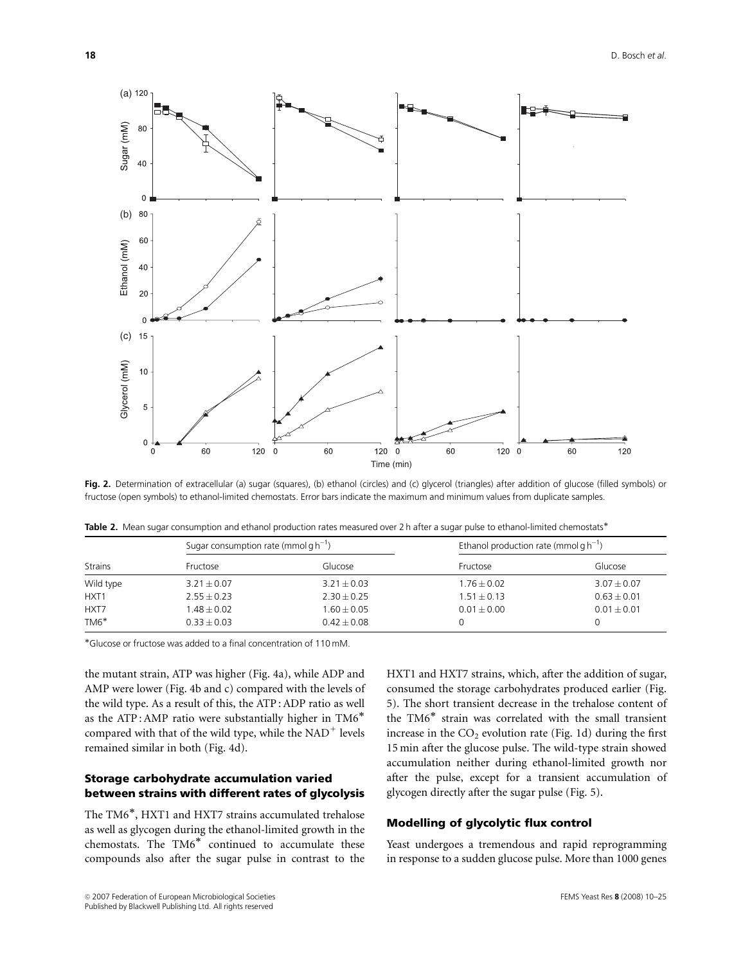

Fig. 2. Determination of extracellular (a) sugar (squares), (b) ethanol (circles) and (c) glycerol (triangles) after addition of glucose (filled symbols) or fructose (open symbols) to ethanol-limited chemostats. Error bars indicate the maximum and minimum values from duplicate samples.

|                  | Sugar consumption rate (mmol $gh^{-1}$ ) |                 | Ethanol production rate (mmol $g h^{-1}$ ) |                 |  |
|------------------|------------------------------------------|-----------------|--------------------------------------------|-----------------|--|
| <b>Strains</b>   | Fructose                                 | Glucose         | Fructose                                   | Glucose         |  |
| Wild type        | $3.21 \pm 0.07$                          | $3.21 \pm 0.03$ | $1.76 \pm 0.02$                            | $3.07 \pm 0.07$ |  |
| HXT <sub>1</sub> | $2.55 + 0.23$                            | $2.30 + 0.25$   | $1.51 + 0.13$                              | $0.63 + 0.01$   |  |
| HXT7             | $1.48 + 0.02$                            | $1.60 + 0.05$   | $0.01 + 0.00$                              | $0.01 + 0.01$   |  |
| $TM6*$           | $0.33 + 0.03$                            | $0.42 + 0.08$   |                                            |                 |  |

Table 2. Mean sugar consumption and ethanol production rates measured over 2 h after a sugar pulse to ethanol-limited chemostats\*

Glucose or fructose was added to a final concentration of 110 mM.

the mutant strain, ATP was higher (Fig. 4a), while ADP and AMP were lower (Fig. 4b and c) compared with the levels of the wild type. As a result of this, the ATP : ADP ratio as well as the ATP: AMP ratio were substantially higher in TM6\* compared with that of the wild type, while the  $NAD^+$  levels remained similar in both (Fig. 4d).

# Storage carbohydrate accumulation varied between strains with different rates of glycolysis

The TM6<sup>\*</sup>, HXT1 and HXT7 strains accumulated trehalose as well as glycogen during the ethanol-limited growth in the chemostats. The  $TM6^*$  continued to accumulate these compounds also after the sugar pulse in contrast to the

HXT1 and HXT7 strains, which, after the addition of sugar, consumed the storage carbohydrates produced earlier (Fig. 5). The short transient decrease in the trehalose content of the TM6<sup>\*</sup> strain was correlated with the small transient increase in the  $CO<sub>2</sub>$  evolution rate (Fig. 1d) during the first 15 min after the glucose pulse. The wild-type strain showed accumulation neither during ethanol-limited growth nor after the pulse, except for a transient accumulation of glycogen directly after the sugar pulse (Fig. 5).

# Modelling of glycolytic flux control

Yeast undergoes a tremendous and rapid reprogramming in response to a sudden glucose pulse. More than 1000 genes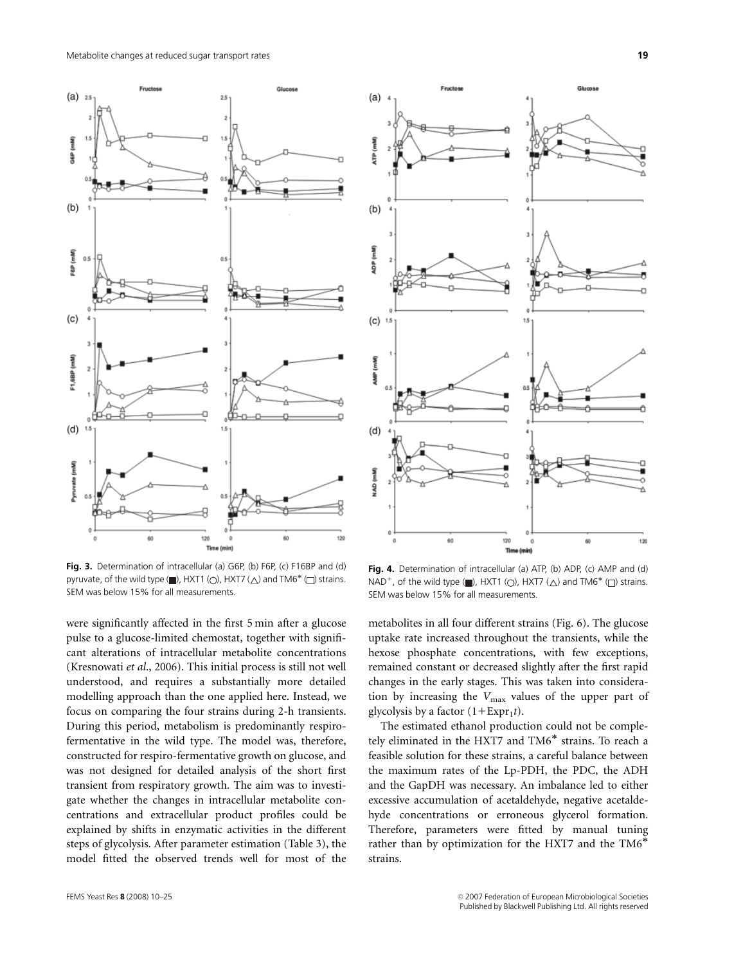

Fig. 3. Determination of intracellular (a) G6P, (b) F6P, (c) F16BP and (d) pyruvate, of the wild type  $(\blacksquare)$ , HXT1  $\langle \bigcirc \rangle$ , HXT7  $\langle \bigtriangleup \rangle$  and TM6<sup>\*</sup>  $\langle \square \rangle$  strains. SEM was below 15% for all measurements.

were significantly affected in the first 5 min after a glucose pulse to a glucose-limited chemostat, together with significant alterations of intracellular metabolite concentrations (Kresnowati et al., 2006). This initial process is still not well understood, and requires a substantially more detailed modelling approach than the one applied here. Instead, we focus on comparing the four strains during 2-h transients. During this period, metabolism is predominantly respirofermentative in the wild type. The model was, therefore, constructed for respiro-fermentative growth on glucose, and was not designed for detailed analysis of the short first transient from respiratory growth. The aim was to investigate whether the changes in intracellular metabolite concentrations and extracellular product profiles could be explained by shifts in enzymatic activities in the different steps of glycolysis. After parameter estimation (Table 3), the model fitted the observed trends well for most of the



Fig. 4. Determination of intracellular (a) ATP, (b) ADP, (c) AMP and (d) NAD<sup>+</sup>, of the wild type ( $\blacksquare$ ), HXT1 ( $\bigcirc$ ), HXT7 ( $\bigtriangleup$ ) and TM6<sup>\*</sup> ( $\Box$ ) strains. SEM was below 15% for all measurements.

metabolites in all four different strains (Fig. 6). The glucose uptake rate increased throughout the transients, while the hexose phosphate concentrations, with few exceptions, remained constant or decreased slightly after the first rapid changes in the early stages. This was taken into consideration by increasing the  $V_{\text{max}}$  values of the upper part of glycolysis by a factor  $(1 + \text{Expr}_1t)$ .

The estimated ethanol production could not be completely eliminated in the HXT7 and TM6<sup>\*</sup> strains. To reach a feasible solution for these strains, a careful balance between the maximum rates of the Lp-PDH, the PDC, the ADH and the GapDH was necessary. An imbalance led to either excessive accumulation of acetaldehyde, negative acetaldehyde concentrations or erroneous glycerol formation. Therefore, parameters were fitted by manual tuning rather than by optimization for the HXT7 and the TM6 strains.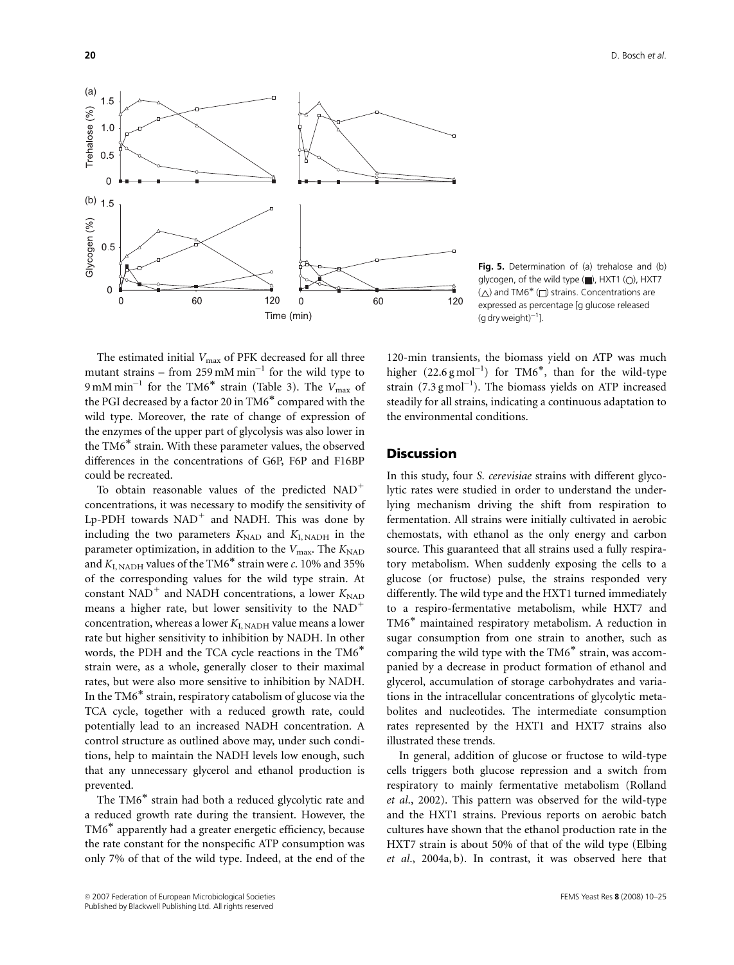

Fig. 5. Determination of (a) trehalose and (b) glycogen, of the wild type  $\Box$ ), HXT1 ( $\bigcirc$ ), HXT7  $(\triangle)$  and TM6<sup>\*</sup> ( $\square$ ) strains. Concentrations are expressed as percentage [g glucose released  $(g$  dry weight) $^{-1}$ ].

The estimated initial  $V_{\text{max}}$  of PFK decreased for all three mutant strains – from 259 mM  $\text{min}^{-1}$  for the wild type to  $9 \text{ mM min}^{-1}$  for the TM6<sup>\*</sup> strain (Table 3). The  $V_{\text{max}}$  of the PGI decreased by a factor 20 in TM6<sup>\*</sup> compared with the wild type. Moreover, the rate of change of expression of the enzymes of the upper part of glycolysis was also lower in the TM6<sup>\*</sup> strain. With these parameter values, the observed differences in the concentrations of G6P, F6P and F16BP could be recreated.

To obtain reasonable values of the predicted  $NAD$ <sup>+</sup> concentrations, it was necessary to modify the sensitivity of Lp-PDH towards  $NAD<sup>+</sup>$  and NADH. This was done by including the two parameters  $K_{\text{NAD}}$  and  $K_{\text{I, NADH}}$  in the parameter optimization, in addition to the  $V_{\text{max}}$ . The  $K_{\text{NAD}}$ and  $K_{\text{L},\text{NADH}}$  values of the TM6<sup>\*</sup> strain were c. 10% and 35% of the corresponding values for the wild type strain. At constant NAD<sup>+</sup> and NADH concentrations, a lower  $K_{\text{NAD}}$ means a higher rate, but lower sensitivity to the  $NAD^+$ concentration, whereas a lower  $K_{\text{L},\text{NADH}}$  value means a lower rate but higher sensitivity to inhibition by NADH. In other words, the PDH and the TCA cycle reactions in the TM6 strain were, as a whole, generally closer to their maximal rates, but were also more sensitive to inhibition by NADH. In the  $TM6^*$  strain, respiratory catabolism of glucose via the TCA cycle, together with a reduced growth rate, could potentially lead to an increased NADH concentration. A control structure as outlined above may, under such conditions, help to maintain the NADH levels low enough, such that any unnecessary glycerol and ethanol production is prevented.

The TM6<sup>\*</sup> strain had both a reduced glycolytic rate and a reduced growth rate during the transient. However, the TM6<sup>\*</sup> apparently had a greater energetic efficiency, because the rate constant for the nonspecific ATP consumption was only 7% of that of the wild type. Indeed, at the end of the 120-min transients, the biomass yield on ATP was much higher  $(22.6 \text{ g mol}^{-1})$  for TM6<sup>\*</sup>, than for the wild-type strain  $(7.3 \text{ g mol}^{-1})$ . The biomass yields on ATP increased steadily for all strains, indicating a continuous adaptation to the environmental conditions.

# **Discussion**

In this study, four S. cerevisiae strains with different glycolytic rates were studied in order to understand the underlying mechanism driving the shift from respiration to fermentation. All strains were initially cultivated in aerobic chemostats, with ethanol as the only energy and carbon source. This guaranteed that all strains used a fully respiratory metabolism. When suddenly exposing the cells to a glucose (or fructose) pulse, the strains responded very differently. The wild type and the HXT1 turned immediately to a respiro-fermentative metabolism, while HXT7 and TM6<sup>\*</sup> maintained respiratory metabolism. A reduction in sugar consumption from one strain to another, such as comparing the wild type with the  $TM6^*$  strain, was accompanied by a decrease in product formation of ethanol and glycerol, accumulation of storage carbohydrates and variations in the intracellular concentrations of glycolytic metabolites and nucleotides. The intermediate consumption rates represented by the HXT1 and HXT7 strains also illustrated these trends.

In general, addition of glucose or fructose to wild-type cells triggers both glucose repression and a switch from respiratory to mainly fermentative metabolism (Rolland et al., 2002). This pattern was observed for the wild-type and the HXT1 strains. Previous reports on aerobic batch cultures have shown that the ethanol production rate in the HXT7 strain is about 50% of that of the wild type (Elbing et al., 2004a, b). In contrast, it was observed here that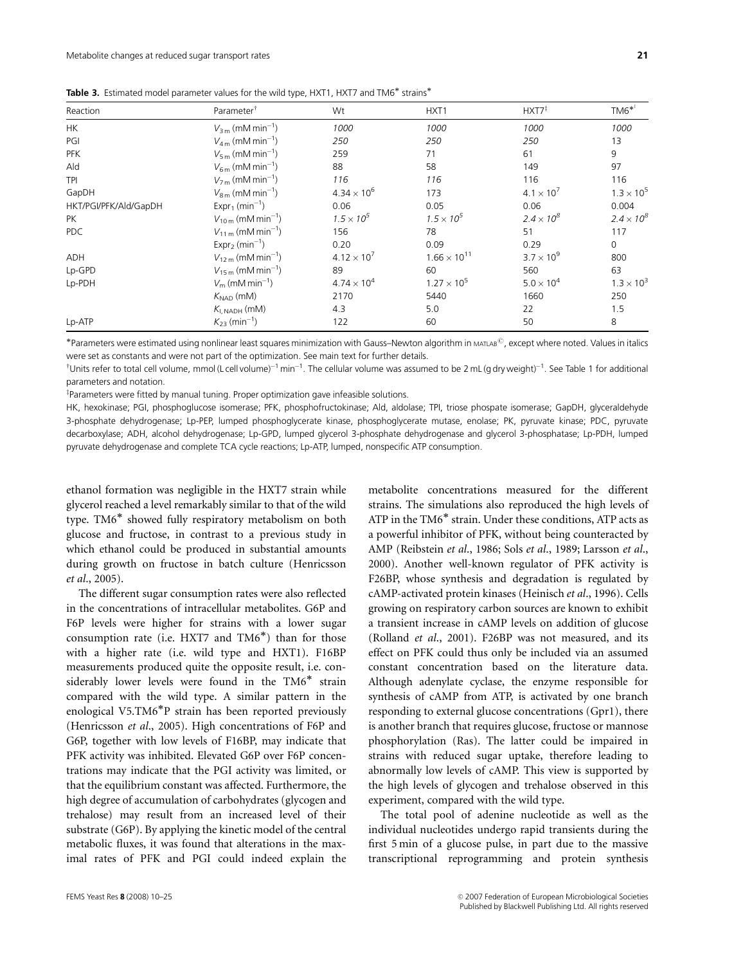|  | Table 3. Estimated model parameter values for the wild type, HXT1, HXT7 and TM6* strains* |  |  |  |  |  |
|--|-------------------------------------------------------------------------------------------|--|--|--|--|--|
|--|-------------------------------------------------------------------------------------------|--|--|--|--|--|

| Reaction              | Parameter <sup>†</sup>                     | Wt                   | HXT <sub>1</sub>      | $HXT7^{\ddagger}$   | $TM6^{*}$           |
|-----------------------|--------------------------------------------|----------------------|-----------------------|---------------------|---------------------|
| <b>HK</b>             | $V_{3\,m}$ (mM min <sup>-1</sup> )         | 1000                 | 1000                  | 1000                | 1000                |
| PGI                   | $V_{4\,\text{m}}$ (mM min <sup>-1</sup> )  | 250                  | 250                   | 250                 | 13                  |
| <b>PFK</b>            | $V_{5m}$ (mM min <sup>-1</sup> )           | 259                  | 71                    | 61                  | 9                   |
| Ald                   | $V_{6\,\text{m}}$ (mM min <sup>-1</sup> )  | 88                   | 58                    | 149                 | 97                  |
| <b>TPI</b>            | $V_{7m}$ (mM min <sup>-1</sup> )           | 116                  | 116                   | 116                 | 116                 |
| GapDH                 | $V_{8m}$ (mM min <sup>-1</sup> )           | $4.34 \times 10^{6}$ | 173                   | $4.1 \times 10^{7}$ | $1.3 \times 10^{5}$ |
| HKT/PGI/PFK/Ald/GapDH | $Expr_1$ (min <sup>-1</sup> )              | 0.06                 | 0.05                  | 0.06                | 0.004               |
| <b>PK</b>             | $V_{10\,\text{m}}$ (mM min <sup>-1</sup> ) | $1.5 \times 10^{5}$  | $1.5 \times 10^{5}$   | $2.4 \times 10^{8}$ | $2.4 \times 10^{8}$ |
| PDC                   | $V_{11\,\text{m}}$ (mM min <sup>-1</sup> ) | 156                  | 78                    | 51                  | 117                 |
|                       | $Expr2$ (min <sup>-1</sup> )               | 0.20                 | 0.09                  | 0.29                | 0                   |
| ADH                   | $V_{12\,\text{m}}$ (mM min <sup>-1</sup> ) | $4.12 \times 10^{7}$ | $1.66 \times 10^{11}$ | $3.7 \times 10^{9}$ | 800                 |
| Lp-GPD                | $V_{15m}$ (mM min <sup>-1</sup> )          | 89                   | 60                    | 560                 | 63                  |
| Lp-PDH                | $V_m$ (mM min <sup>-1</sup> )              | $4.74 \times 10^{4}$ | $1.27 \times 10^{5}$  | $5.0 \times 10^{4}$ | $1.3 \times 10^{3}$ |
|                       | $K_{\text{NAD}}$ (mM)                      | 2170                 | 5440                  | 1660                | 250                 |
|                       | $K_{\text{I, NADH}}$ (mM)                  | 4.3                  | 5.0                   | 22                  | 1.5                 |
| Lp-ATP                | $K_{23}$ (min <sup>-1</sup> )              | 122                  | 60                    | 50                  | 8                   |

\*Parameters were estimated using nonlinear least squares minimization with Gauss–Newton algorithm in MATLAB<sup>C</sup>, except where noted. Values in italics were set as constants and were not part of the optimization. See main text for further details.

 $^\dagger$ Units refer to total cell volume, mmol (L cell volume) $^{-1}$  min $^{-1}$ . The cellular volume was assumed to be 2 mL (g dry weight) $^{-1}$ . See Table 1 for additional parameters and notation.

<sup>‡</sup>Parameters were fitted by manual tuning. Proper optimization gave infeasible solutions.

HK, hexokinase; PGI, phosphoglucose isomerase; PFK, phosphofructokinase; Ald, aldolase; TPI, triose phospate isomerase; GapDH, glyceraldehyde 3-phosphate dehydrogenase; Lp-PEP, lumped phosphoglycerate kinase, phosphoglycerate mutase, enolase; PK, pyruvate kinase; PDC, pyruvate decarboxylase; ADH, alcohol dehydrogenase; Lp-GPD, lumped glycerol 3-phosphate dehydrogenase and glycerol 3-phosphatase; Lp-PDH, lumped pyruvate dehydrogenase and complete TCA cycle reactions; Lp-ATP, lumped, nonspecific ATP consumption.

ethanol formation was negligible in the HXT7 strain while glycerol reached a level remarkably similar to that of the wild type. TM6<sup>\*</sup> showed fully respiratory metabolism on both glucose and fructose, in contrast to a previous study in which ethanol could be produced in substantial amounts during growth on fructose in batch culture (Henricsson et al., 2005).

The different sugar consumption rates were also reflected in the concentrations of intracellular metabolites. G6P and F6P levels were higher for strains with a lower sugar consumption rate (i.e. HXT7 and  $TM6^*$ ) than for those with a higher rate (i.e. wild type and HXT1). F16BP measurements produced quite the opposite result, i.e. considerably lower levels were found in the TM6<sup>\*</sup> strain compared with the wild type. A similar pattern in the enological V5.TM6 $*$ P strain has been reported previously (Henricsson et al., 2005). High concentrations of F6P and G6P, together with low levels of F16BP, may indicate that PFK activity was inhibited. Elevated G6P over F6P concentrations may indicate that the PGI activity was limited, or that the equilibrium constant was affected. Furthermore, the high degree of accumulation of carbohydrates (glycogen and trehalose) may result from an increased level of their substrate (G6P). By applying the kinetic model of the central metabolic fluxes, it was found that alterations in the maximal rates of PFK and PGI could indeed explain the

metabolite concentrations measured for the different strains. The simulations also reproduced the high levels of ATP in the TM6<sup>\*</sup> strain. Under these conditions, ATP acts as a powerful inhibitor of PFK, without being counteracted by AMP (Reibstein et al., 1986; Sols et al., 1989; Larsson et al., 2000). Another well-known regulator of PFK activity is F26BP, whose synthesis and degradation is regulated by cAMP-activated protein kinases (Heinisch et al., 1996). Cells growing on respiratory carbon sources are known to exhibit a transient increase in cAMP levels on addition of glucose (Rolland et al., 2001). F26BP was not measured, and its effect on PFK could thus only be included via an assumed constant concentration based on the literature data. Although adenylate cyclase, the enzyme responsible for synthesis of cAMP from ATP, is activated by one branch responding to external glucose concentrations (Gpr1), there is another branch that requires glucose, fructose or mannose phosphorylation (Ras). The latter could be impaired in strains with reduced sugar uptake, therefore leading to abnormally low levels of cAMP. This view is supported by the high levels of glycogen and trehalose observed in this experiment, compared with the wild type.

The total pool of adenine nucleotide as well as the individual nucleotides undergo rapid transients during the first 5 min of a glucose pulse, in part due to the massive transcriptional reprogramming and protein synthesis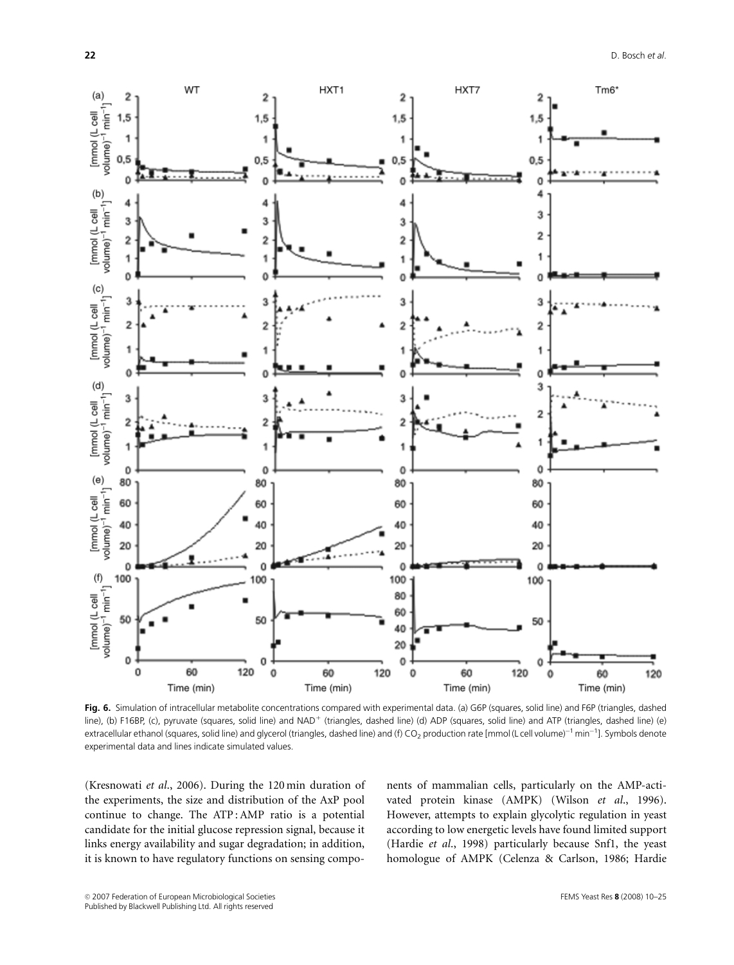

Fig. 6. Simulation of intracellular metabolite concentrations compared with experimental data. (a) G6P (squares, solid line) and F6P (triangles, dashed line), (b) F16BP, (c), pyruvate (squares, solid line) and NAD<sup>+</sup> (triangles, dashed line) (d) ADP (squares, solid line) and ATP (triangles, dashed line) (e) extracellular ethanol (squares, solid line) and glycerol (triangles, dashed line) and (f) CO<sub>2</sub> production rate [mmol (L cell volume) $^{-1}$  min $^{-1}$ ]. Symbols denote experimental data and lines indicate simulated values.

(Kresnowati et al., 2006). During the 120 min duration of the experiments, the size and distribution of the AxP pool continue to change. The ATP : AMP ratio is a potential candidate for the initial glucose repression signal, because it links energy availability and sugar degradation; in addition, it is known to have regulatory functions on sensing components of mammalian cells, particularly on the AMP-activated protein kinase (AMPK) (Wilson et al., 1996). However, attempts to explain glycolytic regulation in yeast according to low energetic levels have found limited support (Hardie et al., 1998) particularly because Snf1, the yeast homologue of AMPK (Celenza & Carlson, 1986; Hardie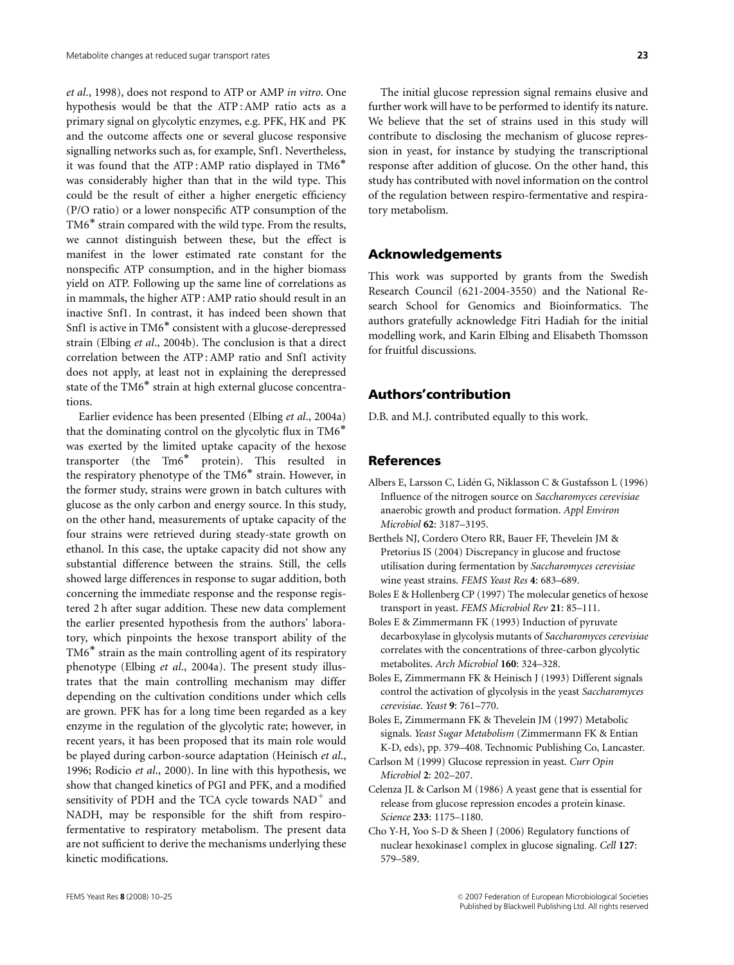et al., 1998), does not respond to ATP or AMP in vitro. One hypothesis would be that the ATP : AMP ratio acts as a primary signal on glycolytic enzymes, e.g. PFK, HK and PK and the outcome affects one or several glucose responsive signalling networks such as, for example, Snf1. Nevertheless, it was found that the ATP : AMP ratio displayed in TM6 was considerably higher than that in the wild type. This could be the result of either a higher energetic efficiency (P/O ratio) or a lower nonspecific ATP consumption of the TM6<sup>\*</sup> strain compared with the wild type. From the results, we cannot distinguish between these, but the effect is manifest in the lower estimated rate constant for the nonspecific ATP consumption, and in the higher biomass yield on ATP. Following up the same line of correlations as in mammals, the higher ATP : AMP ratio should result in an inactive Snf1. In contrast, it has indeed been shown that Snf1 is active in TM6<sup>\*</sup> consistent with a glucose-derepressed strain (Elbing et al., 2004b). The conclusion is that a direct correlation between the ATP : AMP ratio and Snf1 activity does not apply, at least not in explaining the derepressed state of the TM6<sup>\*</sup> strain at high external glucose concentrations.

Earlier evidence has been presented (Elbing et al., 2004a) that the dominating control on the glycolytic flux in TM6 was exerted by the limited uptake capacity of the hexose transporter (the  $Tm6^*$  protein). This resulted in the respiratory phenotype of the  $TM6^*$  strain. However, in the former study, strains were grown in batch cultures with glucose as the only carbon and energy source. In this study, on the other hand, measurements of uptake capacity of the four strains were retrieved during steady-state growth on ethanol. In this case, the uptake capacity did not show any substantial difference between the strains. Still, the cells showed large differences in response to sugar addition, both concerning the immediate response and the response registered 2 h after sugar addition. These new data complement the earlier presented hypothesis from the authors' laboratory, which pinpoints the hexose transport ability of the  $TM6^*$  strain as the main controlling agent of its respiratory phenotype (Elbing et al., 2004a). The present study illustrates that the main controlling mechanism may differ depending on the cultivation conditions under which cells are grown. PFK has for a long time been regarded as a key enzyme in the regulation of the glycolytic rate; however, in recent years, it has been proposed that its main role would be played during carbon-source adaptation (Heinisch et al., 1996; Rodicio et al., 2000). In line with this hypothesis, we show that changed kinetics of PGI and PFK, and a modified sensitivity of PDH and the TCA cycle towards  $NAD^+$  and NADH, may be responsible for the shift from respirofermentative to respiratory metabolism. The present data are not sufficient to derive the mechanisms underlying these kinetic modifications.

The initial glucose repression signal remains elusive and further work will have to be performed to identify its nature. We believe that the set of strains used in this study will contribute to disclosing the mechanism of glucose repression in yeast, for instance by studying the transcriptional response after addition of glucose. On the other hand, this study has contributed with novel information on the control of the regulation between respiro-fermentative and respiratory metabolism.

# Acknowledgements

This work was supported by grants from the Swedish Research Council (621-2004-3550) and the National Research School for Genomics and Bioinformatics. The authors gratefully acknowledge Fitri Hadiah for the initial modelling work, and Karin Elbing and Elisabeth Thomsson for fruitful discussions.

# Authors'contribution

D.B. and M.J. contributed equally to this work.

# References

- Albers E, Larsson C, Liden G, Niklasson C & Gustafsson L (1996) ´ Influence of the nitrogen source on Saccharomyces cerevisiae anaerobic growth and product formation. Appl Environ Microbiol 62: 3187–3195.
- Berthels NJ, Cordero Otero RR, Bauer FF, Thevelein JM & Pretorius IS (2004) Discrepancy in glucose and fructose utilisation during fermentation by Saccharomyces cerevisiae wine yeast strains. FEMS Yeast Res 4: 683–689.
- Boles E & Hollenberg CP (1997) The molecular genetics of hexose transport in yeast. FEMS Microbiol Rev 21: 85–111.
- Boles E & Zimmermann FK (1993) Induction of pyruvate decarboxylase in glycolysis mutants of Saccharomyces cerevisiae correlates with the concentrations of three-carbon glycolytic metabolites. Arch Microbiol 160: 324–328.
- Boles E, Zimmermann FK & Heinisch J (1993) Different signals control the activation of glycolysis in the yeast Saccharomyces cerevisiae. Yeast 9: 761–770.
- Boles E, Zimmermann FK & Thevelein JM (1997) Metabolic signals. Yeast Sugar Metabolism (Zimmermann FK & Entian K-D, eds), pp. 379–408. Technomic Publishing Co, Lancaster.
- Carlson M (1999) Glucose repression in yeast. Curr Opin Microbiol 2: 202–207.
- Celenza JL & Carlson M (1986) A yeast gene that is essential for release from glucose repression encodes a protein kinase. Science 233: 1175–1180.
- Cho Y-H, Yoo S-D & Sheen J (2006) Regulatory functions of nuclear hexokinase1 complex in glucose signaling. Cell 127: 579–589.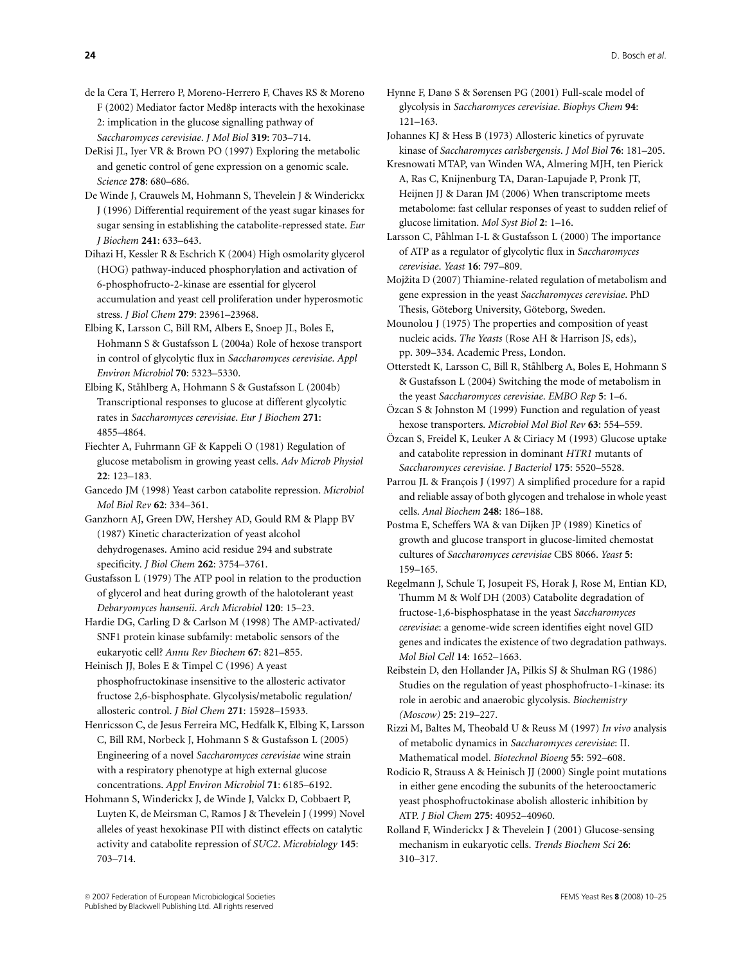- de la Cera T, Herrero P, Moreno-Herrero F, Chaves RS & Moreno F (2002) Mediator factor Med8p interacts with the hexokinase 2: implication in the glucose signalling pathway of Saccharomyces cerevisiae. J Mol Biol 319: 703–714.
- DeRisi JL, Iyer VR & Brown PO (1997) Exploring the metabolic and genetic control of gene expression on a genomic scale. Science 278: 680–686.
- De Winde J, Crauwels M, Hohmann S, Thevelein J & Winderickx J (1996) Differential requirement of the yeast sugar kinases for sugar sensing in establishing the catabolite-repressed state. Eur J Biochem 241: 633–643.
- Dihazi H, Kessler R & Eschrich K (2004) High osmolarity glycerol (HOG) pathway-induced phosphorylation and activation of 6-phosphofructo-2-kinase are essential for glycerol accumulation and yeast cell proliferation under hyperosmotic stress. J Biol Chem 279: 23961–23968.
- Elbing K, Larsson C, Bill RM, Albers E, Snoep JL, Boles E, Hohmann S & Gustafsson L (2004a) Role of hexose transport in control of glycolytic flux in Saccharomyces cerevisiae. Appl Environ Microbiol 70: 5323–5330.
- Elbing K, Ståhlberg A, Hohmann S & Gustafsson L (2004b) Transcriptional responses to glucose at different glycolytic rates in Saccharomyces cerevisiae. Eur J Biochem 271: 4855–4864.
- Fiechter A, Fuhrmann GF & Kappeli O (1981) Regulation of glucose metabolism in growing yeast cells. Adv Microb Physiol 22: 123–183.
- Gancedo JM (1998) Yeast carbon catabolite repression. Microbiol Mol Biol Rev 62: 334–361.
- Ganzhorn AJ, Green DW, Hershey AD, Gould RM & Plapp BV (1987) Kinetic characterization of yeast alcohol dehydrogenases. Amino acid residue 294 and substrate specificity. *J Biol Chem* 262: 3754-3761.
- Gustafsson L (1979) The ATP pool in relation to the production of glycerol and heat during growth of the halotolerant yeast Debaryomyces hansenii. Arch Microbiol 120: 15–23.
- Hardie DG, Carling D & Carlson M (1998) The AMP-activated/ SNF1 protein kinase subfamily: metabolic sensors of the eukaryotic cell? Annu Rev Biochem 67: 821–855.
- Heinisch JJ, Boles E & Timpel C (1996) A yeast phosphofructokinase insensitive to the allosteric activator fructose 2,6-bisphosphate. Glycolysis/metabolic regulation/ allosteric control. J Biol Chem 271: 15928–15933.
- Henricsson C, de Jesus Ferreira MC, Hedfalk K, Elbing K, Larsson C, Bill RM, Norbeck J, Hohmann S & Gustafsson L (2005) Engineering of a novel Saccharomyces cerevisiae wine strain with a respiratory phenotype at high external glucose concentrations. Appl Environ Microbiol 71: 6185–6192.
- Hohmann S, Winderickx J, de Winde J, Valckx D, Cobbaert P, Luyten K, de Meirsman C, Ramos J & Thevelein J (1999) Novel alleles of yeast hexokinase PII with distinct effects on catalytic activity and catabolite repression of SUC2. Microbiology 145: 703–714.

Hynne F, Danø S & Sørensen PG (2001) Full-scale model of glycolysis in Saccharomyces cerevisiae. Biophys Chem 94: 121–163.

Johannes KJ & Hess B (1973) Allosteric kinetics of pyruvate kinase of Saccharomyces carlsbergensis. J Mol Biol 76: 181–205.

- Kresnowati MTAP, van Winden WA, Almering MJH, ten Pierick A, Ras C, Knijnenburg TA, Daran-Lapujade P, Pronk JT, Heijnen JJ & Daran JM (2006) When transcriptome meets metabolome: fast cellular responses of yeast to sudden relief of glucose limitation. Mol Syst Biol 2: 1–16.
- Larsson C, Påhlman I-L & Gustafsson L (2000) The importance of ATP as a regulator of glycolytic flux in Saccharomyces cerevisiae. Yeast 16: 797–809.
- Mojžita D (2007) Thiamine-related regulation of metabolism and gene expression in the yeast Saccharomyces cerevisiae. PhD Thesis, Göteborg University, Göteborg, Sweden.
- Mounolou J (1975) The properties and composition of yeast nucleic acids. The Yeasts (Rose AH & Harrison JS, eds), pp. 309–334. Academic Press, London.
- Otterstedt K, Larsson C, Bill R, Ståhlberg A, Boles E, Hohmann S & Gustafsson L (2004) Switching the mode of metabolism in the yeast Saccharomyces cerevisiae. EMBO Rep 5: 1–6.
- Özcan S & Johnston M (1999) Function and regulation of yeast hexose transporters. Microbiol Mol Biol Rev 63: 554–559.
- Özcan S, Freidel K, Leuker A & Ciriacy M (1993) Glucose uptake and catabolite repression in dominant HTR1 mutants of Saccharomyces cerevisiae. J Bacteriol 175: 5520–5528.
- Parrou JL & François J (1997) A simplified procedure for a rapid and reliable assay of both glycogen and trehalose in whole yeast cells. Anal Biochem 248: 186–188.
- Postma E, Scheffers WA & van Dijken JP (1989) Kinetics of growth and glucose transport in glucose-limited chemostat cultures of Saccharomyces cerevisiae CBS 8066. Yeast 5: 159–165.
- Regelmann J, Schule T, Josupeit FS, Horak J, Rose M, Entian KD, Thumm M & Wolf DH (2003) Catabolite degradation of fructose-1,6-bisphosphatase in the yeast Saccharomyces cerevisiae: a genome-wide screen identifies eight novel GID genes and indicates the existence of two degradation pathways. Mol Biol Cell 14: 1652–1663.
- Reibstein D, den Hollander JA, Pilkis SJ & Shulman RG (1986) Studies on the regulation of yeast phosphofructo-1-kinase: its role in aerobic and anaerobic glycolysis. Biochemistry (Moscow) 25: 219–227.
- Rizzi M, Baltes M, Theobald U & Reuss M (1997) In vivo analysis of metabolic dynamics in Saccharomyces cerevisiae: II. Mathematical model. Biotechnol Bioeng 55: 592–608.
- Rodicio R, Strauss A & Heinisch JJ (2000) Single point mutations in either gene encoding the subunits of the heterooctameric yeast phosphofructokinase abolish allosteric inhibition by ATP. J Biol Chem 275: 40952–40960.
- Rolland F, Winderickx J & Thevelein J (2001) Glucose-sensing mechanism in eukaryotic cells. Trends Biochem Sci 26: 310–317.